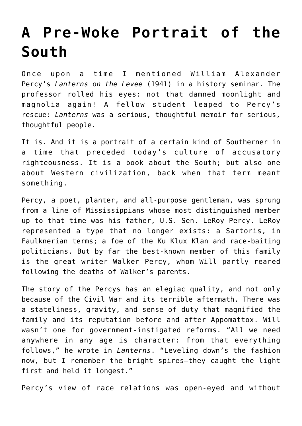## **[A Pre-Woke Portrait of the](https://intellectualtakeout.org/2021/01/a-pre-woke-portrait-of-the-south/) [South](https://intellectualtakeout.org/2021/01/a-pre-woke-portrait-of-the-south/)**

Once upon a time I mentioned William Alexander Percy's *Lanterns on the Levee* (1941) in a history seminar. The professor rolled his eyes: not that damned moonlight and magnolia again! A fellow student leaped to Percy's rescue: *Lanterns* was a serious, thoughtful memoir for serious, thoughtful people.

It is. And it is a portrait of a certain kind of Southerner in a time that preceded today's culture of accusatory righteousness. It is a book about the South; but also one about Western civilization, back when that term meant something.

Percy, a poet, planter, and all-purpose gentleman, was sprung from a line of Mississippians whose most distinguished member up to that time was his father, U.S. Sen. LeRoy Percy. LeRoy represented a type that no longer exists: a Sartoris, in Faulknerian terms; a foe of the Ku Klux Klan and race-baiting politicians. But by far the best-known member of this family is the great writer Walker Percy, whom Will partly reared following the deaths of Walker's parents.

The story of the Percys has an elegiac quality, and not only because of the Civil War and its terrible aftermath. There was a stateliness, gravity, and sense of duty that magnified the family and its reputation before and after Appomattox. Will wasn't one for government-instigated reforms. "All we need anywhere in any age is character: from that everything follows," he wrote in *Lanterns*. "Leveling down's the fashion now, but I remember the bright spires—they caught the light first and held it longest."

Percy's view of race relations was open-eyed and without